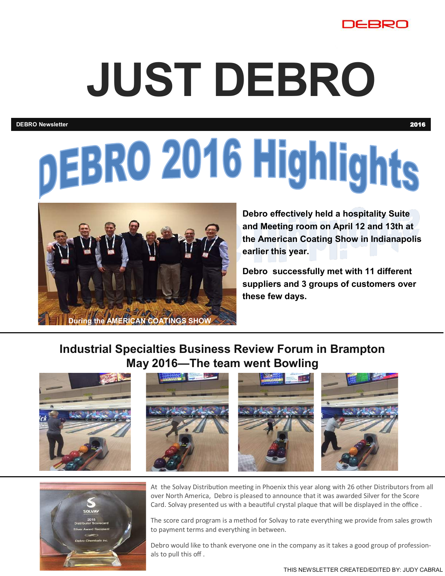

## **JUST DEBRO**

**DEBRO Newsletter** 2016

# DEBRO 2016 Highlights



**Debro effectively held a hospitality Suite and Meeting room on April 12 and 13th at the American Coating Show in Indianapolis earlier this year.**

**Debro successfully met with 11 different suppliers and 3 groups of customers over these few days.**

#### **Industrial Specialties Business Review Forum in Brampton May 2016—The team went Bowling**





At the Solvay Distribution meeting in Phoenix this year along with 26 other Distributors from all over North America, Debro is pleased to announce that it was awarded Silver for the Score Card. Solvay presented us with a beautiful crystal plaque that will be displayed in the office .

The score card program is a method for Solvay to rate everything we provide from sales growth to payment terms and everything in between.

Debro would like to thank everyone one in the company as it takes a good group of professionals to pull this off .